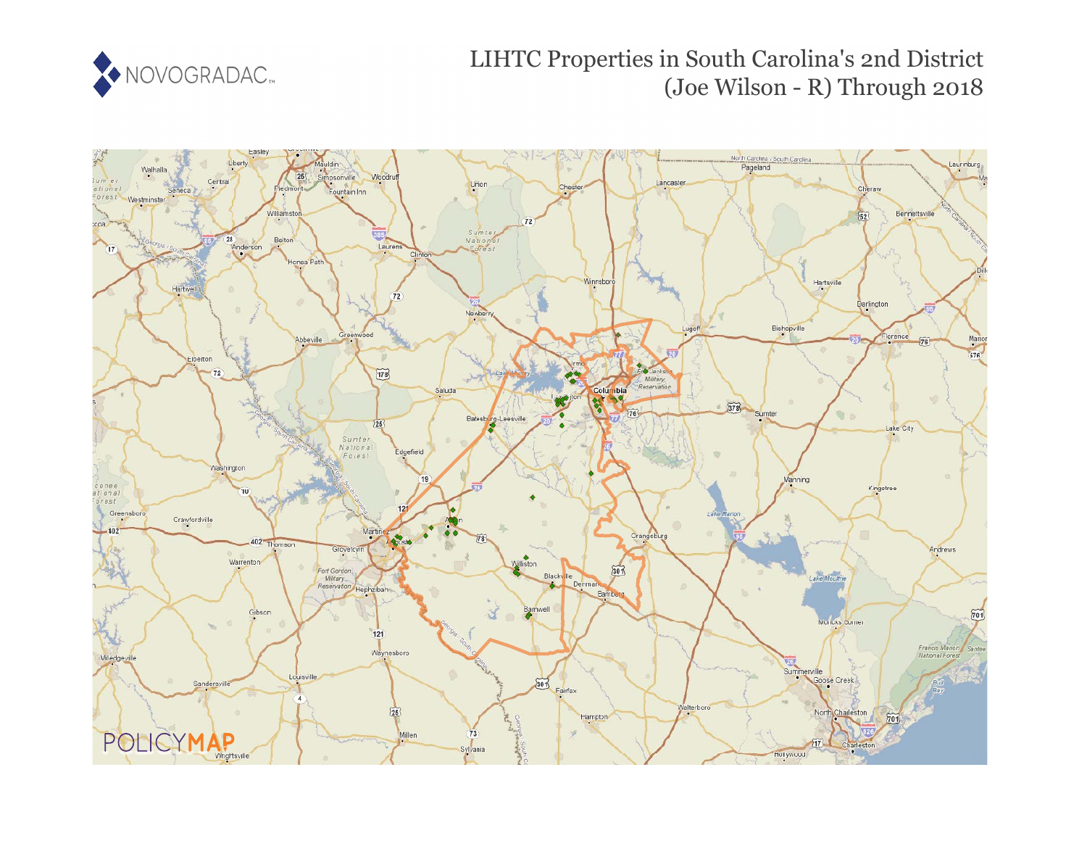

# LIHTC Properties in South Carolina's 2nd District (Joe Wilson - R) Through 2018

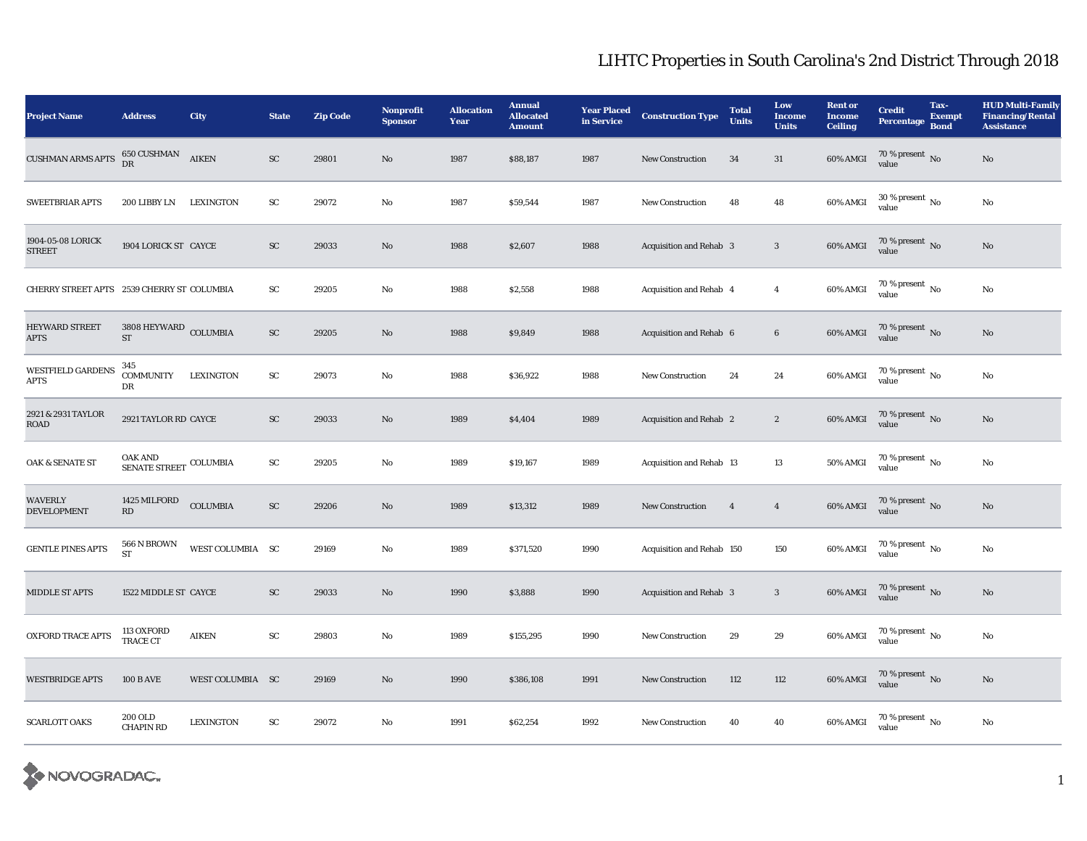| <b>Project Name</b>                        | <b>Address</b>                               | City             | <b>State</b>        | <b>Zip Code</b> | Nonprofit<br><b>Sponsor</b> | <b>Allocation</b><br>Year | <b>Annual</b><br><b>Allocated</b><br><b>Amount</b> | <b>Year Placed</b><br>in Service | <b>Construction Type</b>  | <b>Total</b><br><b>Units</b> | Low<br><b>Income</b><br><b>Units</b> | <b>Rent or</b><br><b>Income</b><br><b>Ceiling</b> | <b>Credit</b><br><b>Percentage</b>     | Tax-<br><b>Exempt</b><br><b>Bond</b> | <b>HUD Multi-Family</b><br><b>Financing/Rental</b><br><b>Assistance</b> |
|--------------------------------------------|----------------------------------------------|------------------|---------------------|-----------------|-----------------------------|---------------------------|----------------------------------------------------|----------------------------------|---------------------------|------------------------------|--------------------------------------|---------------------------------------------------|----------------------------------------|--------------------------------------|-------------------------------------------------------------------------|
| <b>CUSHMAN ARMS APTS</b>                   | $650$ CUSHMAN $\quad$ AIKEN DR               |                  | ${\rm SC}$          | 29801           | No                          | 1987                      | \$88,187                                           | 1987                             | <b>New Construction</b>   | 34                           | 31                                   | 60% AMGI                                          | $70\,\%$ present $\,$ No value         |                                      | $\rm No$                                                                |
| <b>SWEETBRIAR APTS</b>                     | 200 LIBBY LN                                 | <b>LEXINGTON</b> | ${\rm SC}$          | 29072           | No                          | 1987                      | \$59,544                                           | 1987                             | <b>New Construction</b>   | 48                           | 48                                   | 60% AMGI                                          | $30$ % present $\,$ No value           |                                      | $\rm No$                                                                |
| 1904-05-08 LORICK<br><b>STREET</b>         | 1904 LORICK ST CAYCE                         |                  | ${\rm SC}$          | 29033           | $\mathbf{N}\mathbf{o}$      | 1988                      | \$2,607                                            | 1988                             | Acquisition and Rehab 3   |                              | $\sqrt{3}$                           | 60% AMGI                                          | $70\,\%$ present $_{\rm{No}}$          |                                      | $\rm No$                                                                |
| CHERRY STREET APTS 2539 CHERRY ST_COLUMBIA |                                              |                  | $\operatorname{SC}$ | 29205           | No                          | 1988                      | \$2,558                                            | 1988                             | Acquisition and Rehab 4   |                              | $\overline{4}$                       | 60% AMGI                                          | $70\,\%$ present $\,$ No value         |                                      | $\rm No$                                                                |
| <b>HEYWARD STREET</b><br><b>APTS</b>       | 3808 HEYWARD COLUMBIA<br>$\operatorname{ST}$ |                  | SC                  | 29205           | No                          | 1988                      | \$9,849                                            | 1988                             | Acquisition and Rehab 6   |                              | $\bf 6$                              | 60% AMGI                                          | $70$ % present $\,$ No $\,$ value      |                                      | $\rm\thinspace No$                                                      |
| <b>WESTFIELD GARDENS</b><br><b>APTS</b>    | 345<br><b>COMMUNITY</b><br>DR                | <b>LEXINGTON</b> | ${\rm SC}$          | 29073           | No                          | 1988                      | \$36,922                                           | 1988                             | New Construction          | 24                           | 24                                   | 60% AMGI                                          | $70$ % present $\,$ No value           |                                      | $\rm No$                                                                |
| 2921 & 2931 TAYLOR<br>ROAD                 | 2921 TAYLOR RD CAYCE                         |                  | ${\rm SC}$          | 29033           | $\mathbf{N}\mathbf{o}$      | 1989                      | \$4,404                                            | 1989                             | Acquisition and Rehab 2   |                              | $\sqrt{2}$                           | 60% AMGI                                          | $70$ % present $\,$ No value           |                                      | $\rm No$                                                                |
| <b>OAK &amp; SENATE ST</b>                 | OAK AND<br>SENATE STREET COLUMBIA            |                  | $\operatorname{SC}$ | 29205           | $\rm No$                    | 1989                      | \$19,167                                           | 1989                             | Acquisition and Rehab 13  |                              | 13                                   | $50\%$ AMGI                                       | 70 % present $\,$ No $\,$<br>value     |                                      | $\rm No$                                                                |
| <b>WAVERLY</b><br><b>DEVELOPMENT</b>       | 1425 MILFORD<br>RD                           | <b>COLUMBIA</b>  | ${\rm SC}$          | 29206           | $\rm No$                    | 1989                      | \$13,312                                           | 1989                             | New Construction          | $\overline{4}$               | $\overline{4}$                       | 60% AMGI                                          | $70$ % present $\,$ No $\,$ value $\,$ |                                      | $\rm\thinspace No$                                                      |
| <b>GENTLE PINES APTS</b>                   | 566 N BROWN<br><b>ST</b>                     | WEST COLUMBIA SC |                     | 29169           | No                          | 1989                      | \$371,520                                          | 1990                             | Acquisition and Rehab 150 |                              | 150                                  | 60% AMGI                                          | $70$ % present $_{\rm{No}}$            |                                      | $\rm\thinspace No$                                                      |
| <b>MIDDLE ST APTS</b>                      | 1522 MIDDLE ST CAYCE                         |                  | <b>SC</b>           | 29033           | $\mathbf{No}$               | 1990                      | \$3,888                                            | 1990                             | Acquisition and Rehab 3   |                              | $\boldsymbol{3}$                     | 60% AMGI                                          | $70$ % present $\,$ No value           |                                      | $\rm No$                                                                |
| <b>OXFORD TRACE APTS</b>                   | 113 OXFORD<br>TRACE CT                       | <b>AIKEN</b>     | ${\rm SC}$          | 29803           | No                          | 1989                      | \$155,295                                          | 1990                             | <b>New Construction</b>   | 29                           | 29                                   | $60\%$ AMGI                                       | $70$ % present $\,$ No value           |                                      | $\mathbf{N}\mathbf{o}$                                                  |
| <b>WESTBRIDGE APTS</b>                     | <b>100 B AVE</b>                             | WEST COLUMBIA SC |                     | 29169           | $\rm No$                    | 1990                      | \$386,108                                          | 1991                             | New Construction          | 112                          | 112                                  | 60% AMGI                                          | $70$ % present $\,$ No value           |                                      | $\rm\thinspace No$                                                      |
| <b>SCARLOTT OAKS</b>                       | 200 OLD<br><b>CHAPIN RD</b>                  | <b>LEXINGTON</b> | ${\rm SC}$          | 29072           | No                          | 1991                      | \$62,254                                           | 1992                             | <b>New Construction</b>   | 40                           | 40                                   | 60% AMGI                                          | $70\,\%$ present $\,$ No value         |                                      | $\rm No$                                                                |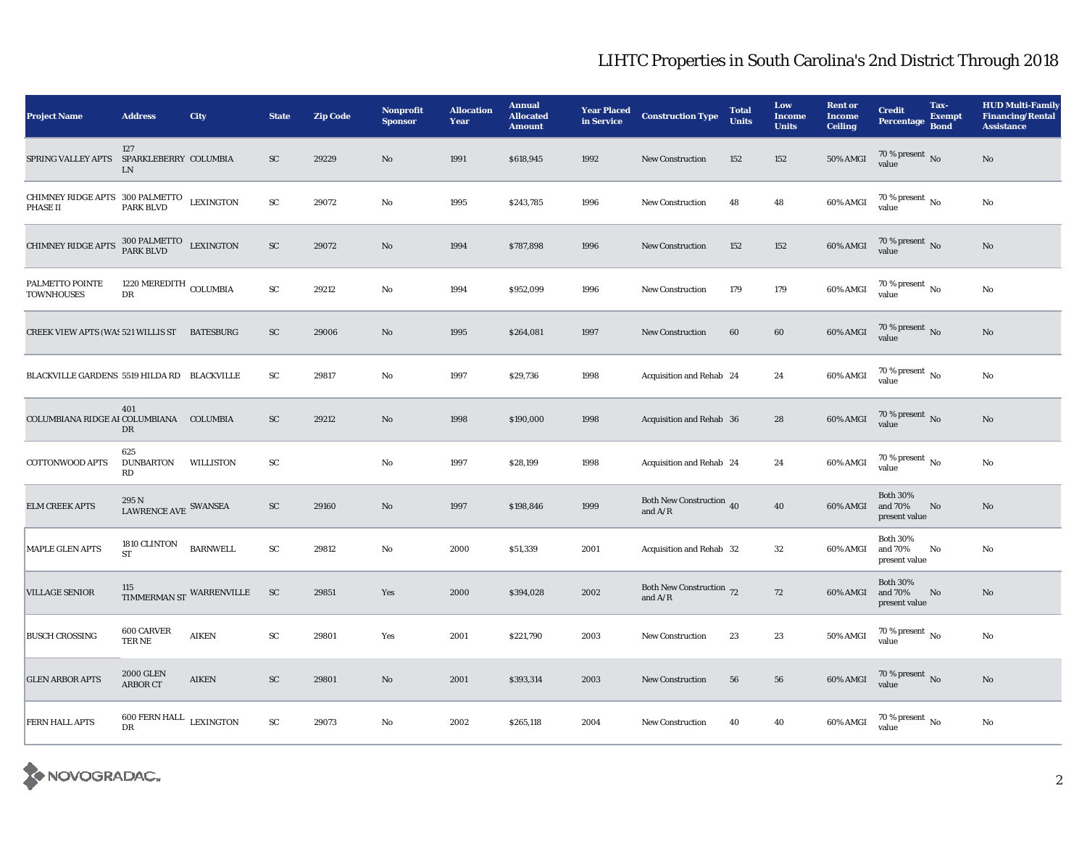| <b>Project Name</b>                                                                                                                                   | <b>Address</b>                          | City                     | <b>State</b> | <b>Zip Code</b> | <b>Nonprofit</b><br><b>Sponsor</b> | <b>Allocation</b><br>Year | <b>Annual</b><br><b>Allocated</b><br><b>Amount</b> | <b>Year Placed</b><br>in Service | <b>Construction Type</b>              | <b>Total</b><br><b>Units</b> | Low<br><b>Income</b><br><b>Units</b> | <b>Rent or</b><br><b>Income</b><br><b>Ceiling</b> | <b>Credit</b><br><b>Percentage</b>          | Tax-<br><b>Exempt</b><br><b>Bond</b> | <b>HUD Multi-Family</b><br><b>Financing/Rental</b><br><b>Assistance</b> |
|-------------------------------------------------------------------------------------------------------------------------------------------------------|-----------------------------------------|--------------------------|--------------|-----------------|------------------------------------|---------------------------|----------------------------------------------------|----------------------------------|---------------------------------------|------------------------------|--------------------------------------|---------------------------------------------------|---------------------------------------------|--------------------------------------|-------------------------------------------------------------------------|
| SPRING VALLEY APTS SPARKLEBERRY COLUMBIA                                                                                                              | 127<br>LN                               |                          | ${\rm SC}$   | 29229           | No                                 | 1991                      | \$618,945                                          | 1992                             | <b>New Construction</b>               | 152                          | 152                                  | <b>50% AMGI</b>                                   | $70\,\%$ present $\,$ No value              |                                      | $\rm No$                                                                |
| $\begin{tabular}{lllllllllll} CHIMNEY RIDGE \; {\sf APTS} & 300 \; {\sf PALMETTO} & LEXINGTON \\ \; {\sf PHASE~II} & {\sf PARK~BLVD} & \end{tabular}$ |                                         |                          | ${\rm SC}$   | 29072           | $\rm No$                           | 1995                      | \$243,785                                          | 1996                             | <b>New Construction</b>               | 48                           | 48                                   | 60% AMGI                                          | 70 % present $\,$ No $\,$<br>value          |                                      | $\rm No$                                                                |
| CHIMNEY RIDGE APTS $^{300\, \rm PALMETTO}_{\rm PARK\, BLVD}$ LEXINGTON                                                                                |                                         |                          | ${\rm SC}$   | 29072           | No                                 | 1994                      | \$787,898                                          | 1996                             | <b>New Construction</b>               | 152                          | 152                                  | 60% AMGI                                          | $70\,\%$ present $_{\rm{No}}$               |                                      | $\mathbf{N}\mathbf{o}$                                                  |
| PALMETTO POINTE<br><b>TOWNHOUSES</b>                                                                                                                  | 1220 MEREDITH COLUMBIA<br>$_{\rm DR}$   |                          | ${\rm SC}$   | 29212           | No                                 | 1994                      | \$952,099                                          | 1996                             | <b>New Construction</b>               | 179                          | 179                                  | 60% AMGI                                          | $70$ % present $_{\, \rm No}$<br>value      |                                      | $\rm No$                                                                |
| CREEK VIEW APTS (WAS 521 WILLIS ST BATESBURG                                                                                                          |                                         |                          | ${\rm SC}$   | 29006           | $\rm\thinspace No$                 | 1995                      | \$264,081                                          | 1997                             | New Construction                      | 60                           | 60                                   | 60% AMGI                                          | $70\,\%$ present $\,$ No value              |                                      | $\rm No$                                                                |
| BLACKVILLE GARDENS 5519 HILDA RD BLACKVILLE                                                                                                           |                                         |                          | SC           | 29817           | No                                 | 1997                      | \$29,736                                           | 1998                             | Acquisition and Rehab 24              |                              | 24                                   | $60\%$ AMGI                                       | $70\%$ present $\overline{N_0}$<br>value    |                                      | $\rm No$                                                                |
| COLUMBIANA RIDGE AI COLUMBIANA COLUMBIA                                                                                                               | 401<br>DR                               |                          | SC           | 29212           | No                                 | 1998                      | \$190,000                                          | 1998                             | Acquisition and Rehab 36              |                              | 28                                   | 60% AMGI                                          | $70\,\%$ present $\,$ No value              |                                      | No                                                                      |
| COTTONWOOD APTS                                                                                                                                       | 625<br><b>DUNBARTON</b><br>RD           | <b>WILLISTON</b>         | SC           |                 | $\rm No$                           | 1997                      | \$28,199                                           | 1998                             | Acquisition and Rehab 24              |                              | 24                                   | 60% AMGI                                          | 70 % present $\,$ No $\,$<br>value          |                                      | $\rm No$                                                                |
| <b>ELM CREEK APTS</b>                                                                                                                                 | 295 N<br>LAWRENCE AVE SWANSEA           |                          | ${\rm SC}$   | 29160           | $\mathbf{N}\mathbf{o}$             | 1997                      | \$198,846                                          | 1999                             | Both New Construction 40<br>and $A/R$ |                              | 40                                   | 60% AMGI                                          | <b>Both 30%</b><br>and 70%<br>present value | No                                   | $\mathbf{N}\mathbf{o}$                                                  |
| MAPLE GLEN APTS                                                                                                                                       | 1810 CLINTON<br><b>ST</b>               | <b>BARNWELL</b>          | ${\bf SC}$   | 29812           | No                                 | 2000                      | \$51,339                                           | 2001                             | Acquisition and Rehab 32              |                              | $32\,$                               | 60% AMGI                                          | <b>Both 30%</b><br>and 70%<br>present value | No                                   | No                                                                      |
| <b>VILLAGE SENIOR</b>                                                                                                                                 |                                         | TIMMERMAN ST WARRENVILLE | <b>SC</b>    | 29851           | Yes                                | 2000                      | \$394,028                                          | 2002                             | Both New Construction 72<br>and $A/R$ |                              | 72                                   | 60% AMGI                                          | <b>Both 30%</b><br>and 70%<br>present value | No                                   | $\mathbf{N}\mathbf{o}$                                                  |
| <b>BUSCH CROSSING</b>                                                                                                                                 | 600 CARVER<br>TER NE                    | <b>AIKEN</b>             | ${\rm SC}$   | 29801           | Yes                                | 2001                      | \$221,790                                          | 2003                             | <b>New Construction</b>               | 23                           | 23                                   | 50% AMGI                                          | 70 % present $\overline{N_0}$<br>value      |                                      | $\rm No$                                                                |
| <b>GLEN ARBOR APTS</b>                                                                                                                                | <b>2000 GLEN</b><br>ARBOR CT            | <b>AIKEN</b>             | SC           | 29801           | $\mathbf{N}\mathbf{o}$             | 2001                      | \$393,314                                          | 2003                             | <b>New Construction</b>               | 56                           | 56                                   | 60% AMGI                                          | $70\,\%$ present $\,$ No value              |                                      | $\mathbf{N}\mathbf{o}$                                                  |
| <b>FERN HALL APTS</b>                                                                                                                                 | $600$ FERN HALL $$\tt LEXINGTON$$<br>DR |                          | ${\rm SC}$   | 29073           | No                                 | 2002                      | \$265,118                                          | 2004                             | <b>New Construction</b>               | 40                           | 40                                   | 60% AMGI                                          | $70$ % present $\,$ No $\,$<br>value        |                                      | $\rm No$                                                                |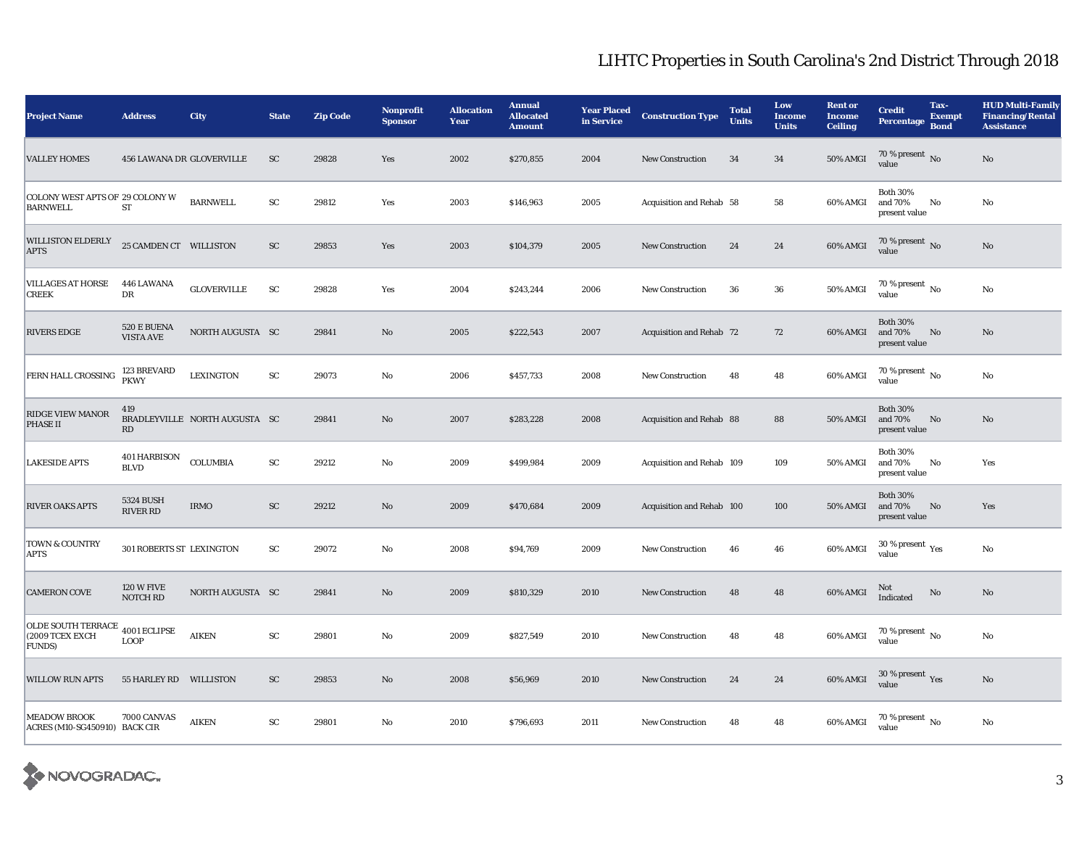| <b>Project Name</b>                                                  | <b>Address</b>                              | City                          | <b>State</b>           | <b>Zip Code</b> | Nonprofit<br><b>Sponsor</b> | <b>Allocation</b><br>Year | <b>Annual</b><br><b>Allocated</b><br><b>Amount</b> | <b>Year Placed</b><br>in Service | <b>Construction Type</b>  | <b>Total</b><br><b>Units</b> | Low<br><b>Income</b><br><b>Units</b> | <b>Rent or</b><br><b>Income</b><br><b>Ceiling</b> | <b>Credit</b><br><b>Percentage</b>          | Tax-<br><b>Exempt</b><br><b>Bond</b> | <b>HUD Multi-Family</b><br><b>Financing/Rental</b><br><b>Assistance</b> |
|----------------------------------------------------------------------|---------------------------------------------|-------------------------------|------------------------|-----------------|-----------------------------|---------------------------|----------------------------------------------------|----------------------------------|---------------------------|------------------------------|--------------------------------------|---------------------------------------------------|---------------------------------------------|--------------------------------------|-------------------------------------------------------------------------|
| <b>VALLEY HOMES</b>                                                  | 456 LAWANA DR GLOVERVILLE                   |                               | <b>SC</b>              | 29828           | Yes                         | 2002                      | \$270,855                                          | 2004                             | <b>New Construction</b>   | 34                           | 34                                   | <b>50% AMGI</b>                                   | 70 % present No<br>value                    |                                      | No                                                                      |
| COLONY WEST APTS OF 29 COLONY W<br><b>BARNWELL</b>                   | ST                                          | <b>BARNWELL</b>               | ${\rm sc}$             | 29812           | Yes                         | 2003                      | \$146,963                                          | 2005                             | Acquisition and Rehab 58  |                              | 58                                   | 60% AMGI                                          | <b>Both 30%</b><br>and 70%<br>present value | No                                   | No                                                                      |
| <b>WILLISTON ELDERLY</b><br><b>APTS</b>                              | 25 CAMDEN CT WILLISTON                      |                               | ${\rm SC}$             | 29853           | Yes                         | 2003                      | \$104,379                                          | 2005                             | <b>New Construction</b>   | 24                           | $\bf 24$                             | 60% AMGI                                          | $70\,\%$ present $_{\rm No}$                |                                      | No                                                                      |
| VILLAGES AT HORSE<br><b>CREEK</b>                                    | 446 LAWANA<br>DR                            | <b>GLOVERVILLE</b>            | ${\rm SC}$             | 29828           | Yes                         | 2004                      | \$243,244                                          | 2006                             | <b>New Construction</b>   | 36                           | ${\bf 36}$                           | 50% AMGI                                          | 70 % present $\,$ No $\,$<br>value          |                                      | No                                                                      |
| <b>RIVERS EDGE</b>                                                   | $520\,\mathrm{E}$ BUENA<br><b>VISTA AVE</b> | NORTH AUGUSTA SC              |                        | 29841           | No                          | 2005                      | \$222,543                                          | 2007                             | Acquisition and Rehab 72  |                              | 72                                   | 60% AMGI                                          | <b>Both 30%</b><br>and 70%<br>present value | No                                   | No                                                                      |
| FERN HALL CROSSING                                                   | 123 BREVARD<br><b>PKWY</b>                  | <b>LEXINGTON</b>              | SC                     | 29073           | No                          | 2006                      | \$457,733                                          | 2008                             | <b>New Construction</b>   | 48                           | 48                                   | 60% AMGI                                          | 70 % present $\,$ No $\,$<br>value          |                                      | No                                                                      |
| <b>RIDGE VIEW MANOR</b><br>PHASE II                                  | 419<br>RD                                   | BRADLEYVILLE NORTH AUGUSTA SC |                        | 29841           | No                          | 2007                      | \$283,228                                          | 2008                             | Acquisition and Rehab 88  |                              | 88                                   | <b>50% AMGI</b>                                   | <b>Both 30%</b><br>and 70%<br>present value | No                                   | No                                                                      |
| <b>LAKESIDE APTS</b>                                                 | 401 HARBISON<br><b>BLVD</b>                 | COLUMBIA                      | $\mathbf{S}\mathbf{C}$ | 29212           | No                          | 2009                      | \$499,984                                          | 2009                             | Acquisition and Rehab 109 |                              | 109                                  | <b>50% AMGI</b>                                   | <b>Both 30%</b><br>and 70%<br>present value | No                                   | Yes                                                                     |
| <b>RIVER OAKS APTS</b>                                               | <b>5324 BUSH</b><br><b>RIVER RD</b>         | <b>IRMO</b>                   | SC                     | 29212           | No                          | 2009                      | \$470,684                                          | 2009                             | Acquisition and Rehab 100 |                              | 100                                  | <b>50% AMGI</b>                                   | <b>Both 30%</b><br>and 70%<br>present value | No                                   | Yes                                                                     |
| TOWN & COUNTRY<br><b>APTS</b>                                        | 301 ROBERTS ST LEXINGTON                    |                               | ${\rm sc}$             | 29072           | No                          | 2008                      | \$94,769                                           | 2009                             | <b>New Construction</b>   | 46                           | 46                                   | 60% AMGI                                          | 30 % present $\rm \gamma_{\rm es}$<br>value |                                      | No                                                                      |
| <b>CAMERON COVE</b>                                                  | <b>120 W FIVE</b><br>NOTCH RD               | NORTH AUGUSTA SC              |                        | 29841           | $\mathbf{N}\mathbf{o}$      | 2009                      | \$810,329                                          | 2010                             | New Construction          | 48                           | 48                                   | 60% AMGI                                          | Not<br>Indicated                            | No                                   | $\rm No$                                                                |
| OLDE SOUTH TERRACE 4001 ECLIPSE<br>(2009 TCEX EXCH<br><b>FUNDS</b> ) | <b>LOOP</b>                                 | <b>AIKEN</b>                  | ${\rm SC}$             | 29801           | No                          | 2009                      | \$827,549                                          | 2010                             | <b>New Construction</b>   | 48                           | 48                                   | 60% AMGI                                          | 70 % present $\,$ No $\,$<br>value          |                                      | No                                                                      |
| <b>WILLOW RUN APTS</b>                                               | 55 HARLEY RD WILLISTON                      |                               | <b>SC</b>              | 29853           | No                          | 2008                      | \$56,969                                           | 2010                             | <b>New Construction</b>   | 24                           | 24                                   | $60\%$ AMGI                                       | $30$ % present $\,$ $\rm Yes$<br>value      |                                      | No                                                                      |
| <b>MEADOW BROOK</b><br>ACRES (M10-SG450910) BACK CIR                 | 7000 CANVAS                                 | <b>AIKEN</b>                  | ${\rm SC}$             | 29801           | No                          | 2010                      | \$796,693                                          | 2011                             | <b>New Construction</b>   | 48                           | 48                                   | 60% AMGI                                          | 70 % present $\,$ No $\,$<br>value          |                                      | No                                                                      |

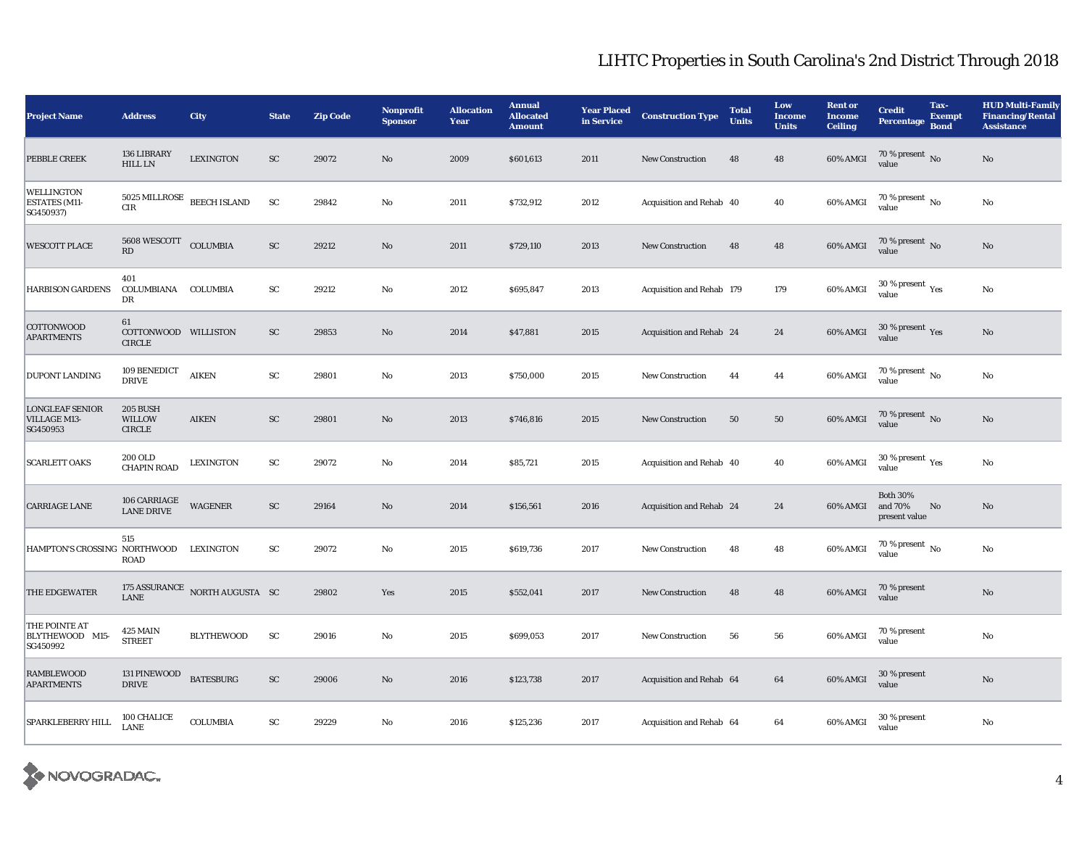| <b>Project Name</b>                                    | <b>Address</b>                              | <b>City</b>                              | <b>State</b> | <b>Zip Code</b> | <b>Nonprofit</b><br><b>Sponsor</b> | <b>Allocation</b><br>Year | <b>Annual</b><br><b>Allocated</b><br><b>Amount</b> | <b>Year Placed</b><br>in Service | <b>Construction Type</b>  | <b>Total</b><br><b>Units</b> | Low<br><b>Income</b><br><b>Units</b> | <b>Rent or</b><br><b>Income</b><br><b>Ceiling</b> | <b>Credit</b><br><b>Percentage</b>          | Tax-<br><b>Exempt</b><br><b>Bond</b> | <b>HUD Multi-Family</b><br><b>Financing/Rental</b><br><b>Assistance</b> |
|--------------------------------------------------------|---------------------------------------------|------------------------------------------|--------------|-----------------|------------------------------------|---------------------------|----------------------------------------------------|----------------------------------|---------------------------|------------------------------|--------------------------------------|---------------------------------------------------|---------------------------------------------|--------------------------------------|-------------------------------------------------------------------------|
| PEBBLE CREEK                                           | 136 LIBRARY<br><b>HILL LN</b>               | <b>LEXINGTON</b>                         | ${\rm SC}$   | 29072           | $\rm No$                           | 2009                      | \$601,613                                          | 2011                             | New Construction          | 48                           | 48                                   | 60% AMGI                                          | $70\,\%$ present $\,$ No value              |                                      | $\rm No$                                                                |
| <b>WELLINGTON</b><br><b>ESTATES</b> (M11-<br>SG450937) | 5025 MILLROSE<br><b>CIR</b>                 | <b>BEECH ISLAND</b>                      | SC           | 29842           | $\mathbf {No}$                     | 2011                      | \$732,912                                          | 2012                             | Acquisition and Rehab 40  |                              | 40                                   | 60% AMGI                                          | 70 % present $N_0$<br>value                 |                                      | No                                                                      |
| <b>WESCOTT PLACE</b>                                   | 5608 WESCOTT<br>RD                          | COLUMBIA                                 | ${\rm SC}$   | 29212           | $\rm No$                           | 2011                      | \$729,110                                          | 2013                             | <b>New Construction</b>   | 48                           | 48                                   | 60% AMGI                                          | $70\,\%$ present $_{\rm No}$                |                                      | $\rm No$                                                                |
| <b>HARBISON GARDENS</b>                                | 401<br>COLUMBIANA COLUMBIA<br>DR            |                                          | ${\rm SC}$   | 29212           | $\mathbf {No}$                     | 2012                      | \$695,847                                          | 2013                             | Acquisition and Rehab 179 |                              | 179                                  | 60% AMGI                                          | $30$ % present $\,$ $\rm Yes$<br>value      |                                      | No                                                                      |
| <b>COTTONWOOD</b><br><b>APARTMENTS</b>                 | 61<br>COTTONWOOD WILLISTON<br><b>CIRCLE</b> |                                          | ${\rm SC}$   | 29853           | $\rm No$                           | 2014                      | \$47,881                                           | 2015                             | Acquisition and Rehab 24  |                              | 24                                   | 60% AMGI                                          | $30\,\%$ present $\,\mathrm{Yes}$ value     |                                      | No                                                                      |
| <b>DUPONT LANDING</b>                                  | 109 BENEDICT<br><b>DRIVE</b>                | <b>AIKEN</b>                             | ${\rm SC}$   | 29801           | $\mathbf {No}$                     | 2013                      | \$750,000                                          | 2015                             | <b>New Construction</b>   | 44                           | 44                                   | 60% AMGI                                          | $70\%$ present $\overline{N_0}$<br>value    |                                      | No                                                                      |
| <b>LONGLEAF SENIOR</b><br>VILLAGE M13-<br>SG450953     | 205 BUSH<br>WILLOW<br>CIRCLE                | <b>AIKEN</b>                             | ${\rm SC}$   | 29801           | $\rm No$                           | 2013                      | \$746,816                                          | 2015                             | <b>New Construction</b>   | 50                           | 50                                   | 60% AMGI                                          | $70\,\%$ present $\,$ No value              |                                      | No                                                                      |
| <b>SCARLETT OAKS</b>                                   | <b>200 OLD</b><br><b>CHAPIN ROAD</b>        | <b>LEXINGTON</b>                         | SC           | 29072           | $\mathbf {No}$                     | 2014                      | \$85,721                                           | 2015                             | Acquisition and Rehab 40  |                              | 40                                   | 60% AMGI                                          | $30$ % present $\,$ $\rm Yes$<br>value      |                                      | $\rm No$                                                                |
| <b>CARRIAGE LANE</b>                                   | 106 CARRIAGE<br><b>LANE DRIVE</b>           | WAGENER                                  | ${\rm SC}$   | 29164           | $\rm No$                           | 2014                      | \$156,561                                          | 2016                             | Acquisition and Rehab 24  |                              | 24                                   | 60% AMGI                                          | <b>Both 30%</b><br>and 70%<br>present value | No                                   | No                                                                      |
| HAMPTON'S CROSSING NORTHWOOD                           | 515<br>ROAD                                 | LEXINGTON                                | ${\rm SC}$   | 29072           | $\rm No$                           | 2015                      | \$619,736                                          | 2017                             | <b>New Construction</b>   | 48                           | 48                                   | 60% AMGI                                          | $70\%$ present No<br>value                  |                                      | No                                                                      |
| THE EDGEWATER                                          | <b>LANE</b>                                 | 175 ASSURANCE $\,$ NORTH AUGUSTA $\,$ SC |              | 29802           | Yes                                | 2015                      | \$552,041                                          | 2017                             | <b>New Construction</b>   | 48                           | 48                                   | 60% AMGI                                          | 70 % present<br>value                       |                                      | No                                                                      |
| THE POINTE AT<br>BLYTHEWOOD M15-<br>SG450992           | <b>425 MAIN</b><br><b>STREET</b>            | <b>BLYTHEWOOD</b>                        | SC           | 29016           | No                                 | 2015                      | \$699,053                                          | 2017                             | <b>New Construction</b>   | 56                           | 56                                   | 60% AMGI                                          | 70 % present<br>value                       |                                      | No                                                                      |
| <b>RAMBLEWOOD</b><br><b>APARTMENTS</b>                 | 131 PINEWOOD<br><b>DRIVE</b>                | <b>BATESBURG</b>                         | <b>SC</b>    | 29006           | $\mathbf{N}\mathbf{o}$             | 2016                      | \$123,738                                          | 2017                             | Acquisition and Rehab 64  |                              | 64                                   | 60% AMGI                                          | 30 % present<br>value                       |                                      | No                                                                      |
| SPARKLEBERRY HILL                                      | 100 CHALICE<br>LANE                         | <b>COLUMBIA</b>                          | ${\rm SC}$   | 29229           | No                                 | 2016                      | \$125,236                                          | 2017                             | Acquisition and Rehab 64  |                              | 64                                   | 60% AMGI                                          | 30 % present<br>value                       |                                      | No                                                                      |